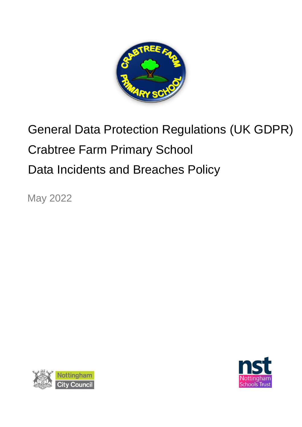

# General Data Protection Regulations (UK GDPR) Crabtree Farm Primary School Data Incidents and Breaches Policy

May 2022



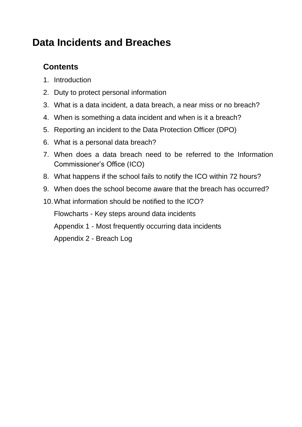# **Data Incidents and Breaches**

# **Contents**

- 1. Introduction
- 2. Duty to protect personal information
- 3. What is a data incident, a data breach, a near miss or no breach?
- 4. When is something a data incident and when is it a breach?
- 5. Reporting an incident to the Data Protection Officer (DPO)
- 6. What is a personal data breach?
- 7. When does a data breach need to be referred to the Information Commissioner's Office (ICO)
- 8. What happens if the school fails to notify the ICO within 72 hours?
- 9. When does the school become aware that the breach has occurred?
- 10.What information should be notified to the ICO?

Flowcharts - Key steps around data incidents

Appendix 1 - Most frequently occurring data incidents

Appendix 2 - Breach Log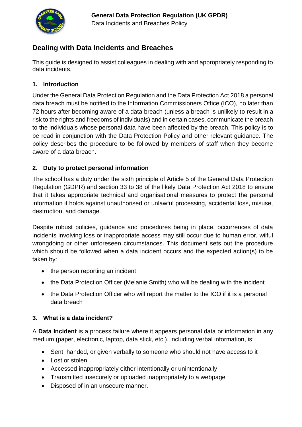

#### **Dealing with Data Incidents and Breaches**

This guide is designed to assist colleagues in dealing with and appropriately responding to data incidents.

#### **1. Introduction**

Under the General Data Protection Regulation and the Data Protection Act 2018 a personal data breach must be notified to the Information Commissioners Office (ICO), no later than 72 hours after becoming aware of a data breach (unless a breach is unlikely to result in a risk to the rights and freedoms of individuals) and in certain cases, communicate the breach to the individuals whose personal data have been affected by the breach. This policy is to be read in conjunction with the Data Protection Policy and other relevant guidance. The policy describes the procedure to be followed by members of staff when they become aware of a data breach.

#### **2. Duty to protect personal information**

The school has a duty under the sixth principle of Article 5 of the General Data Protection Regulation (GDPR) and section 33 to 38 of the likely Data Protection Act 2018 to ensure that it takes appropriate technical and organisational measures to protect the personal information it holds against unauthorised or unlawful processing, accidental loss, misuse, destruction, and damage.

Despite robust policies, guidance and procedures being in place, occurrences of data incidents involving loss or inappropriate access may still occur due to human error, wilful wrongdoing or other unforeseen circumstances. This document sets out the procedure which should be followed when a data incident occurs and the expected action(s) to be taken by:

- the person reporting an incident
- the Data Protection Officer (Melanie Smith) who will be dealing with the incident
- the Data Protection Officer who will report the matter to the ICO if it is a personal data breach

#### **3. What is a data incident?**

A **Data Incident** is a process failure where it appears personal data or information in any medium (paper, electronic, laptop, data stick, etc.), including verbal information, is:

- Sent, handed, or given verbally to someone who should not have access to it
- Lost or stolen
- Accessed inappropriately either intentionally or unintentionally
- Transmitted insecurely or uploaded inappropriately to a webpage
- Disposed of in an unsecure manner.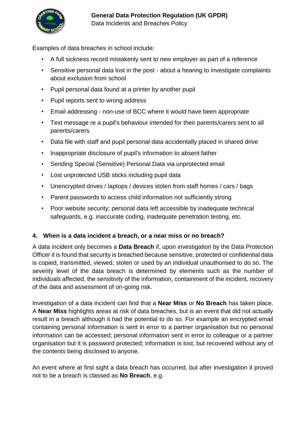

Examples of data breaches in school include:

- A full sickness record mistakenly sent to new employer as part of a reference
- Sensitive personal data lost in the post about a hearing to investigate complaints about exclusion from school
- Pupil personal data found at a printer by another pupil
- Pupil reports sent to wrong address
- Email addressing non-use of BCC where it would have been appropriate
- Text message re a pupil's behaviour intended for their parents/carers sent to all parents/carers
- Data file with staff and pupil personal data accidentally placed in shared drive
- Inappropriate disclosure of pupil's information to absent father
- Sending Special (Sensitive) Personal Data via unprotected email
- Lost unprotected USB sticks including pupil data
- Unencrypted drives / laptops / devices stolen from staff homes / cars / bags
- Parent passwords to access child information not sufficiently strong
- Poor website security; personal data left accessible by inadequate technical safeguards, e.g. inaccurate coding, inadequate penetration testing, etc.

#### **4. When is a data incident a breach, or a near miss or no breach?**

A data incident only becomes a **Data Breach** if, upon investigation by the Data Protection Officer it is found that security is breached because sensitive, protected or confidential data is copied, transmitted, viewed, stolen or used by an individual unauthorised to do so. The severity level of the data breach is determined by elements such as the number of individuals affected, the sensitivity of the information, containment of the incident, recovery of the data and assessment of on-going risk.

Investigation of a data incident can find that a **Near Miss** or **No Breach** has taken place. A **Near Miss** highlights areas at risk of data breaches, but is an event that did not actually result in a breach although it had the potential to do so. For example an encrypted email containing personal information is sent in error to a partner organisation but no personal information can be accessed; personal information sent in error to colleague or a partner organisation but it is password protected; information is lost, but recovered without any of the contents being disclosed to anyone.

An event where at first sight a data breach has occurred, but after investigation it proved not to be a breach is classed as **No Breach**, e.g.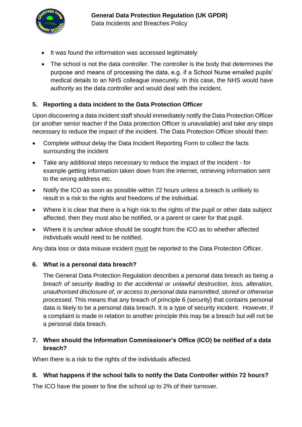

- It was found the information was accessed legitimately
- The school is not the data controller. The controller is the body that determines the purpose and means of processing the data, e.g. if a School Nurse emailed pupils' medical details to an NHS colleague insecurely. In this case, the NHS would have authority as the data controller and would deal with the incident.

#### **5. Reporting a data incident to the Data Protection Officer**

Upon discovering a data incident staff should immediately notify the Data Protection Officer (or another senior teacher if the Data protection Officer is unavailable) and take any steps necessary to reduce the impact of the incident. The Data Protection Officer should then:

- Complete without delay the Data Incident Reporting Form to collect the facts surrounding the incident
- Take any additional steps necessary to reduce the impact of the incident for example getting information taken down from the internet, retrieving information sent to the wrong address etc.
- Notify the ICO as soon as possible within 72 hours unless a breach is unlikely to result in a risk to the rights and freedoms of the individual.
- Where it is clear that there is a high risk to the rights of the pupil or other data subject affected, then they must also be notified, or a parent or carer for that pupil.
- Where it is unclear advice should be sought from the ICO as to whether affected individuals would need to be notified.

Any data loss or data misuse incident must be reported to the Data Protection Officer.

#### **6. What is a personal data breach?**

The General Data Protection Regulation describes a personal data breach as being *a breach of security leading to the accidental or unlawful destruction, loss, alteration, unauthorised disclosure of, or access to personal data transmitted, stored or otherwise processed*. This means that any breach of principle 6 (security) that contains personal data is likely to be a personal data breach. It is a type of security incident. However, if a complaint is made in relation to another principle this may be a breach but will not be a personal data breach.

#### **7. When should the Information Commissioner's Office (ICO) be notified of a data breach?**

When there is a risk to the rights of the individuals affected.

#### **8. What happens if the school fails to notify the Data Controller within 72 hours?**

The ICO have the power to fine the school up to 2% of their turnover.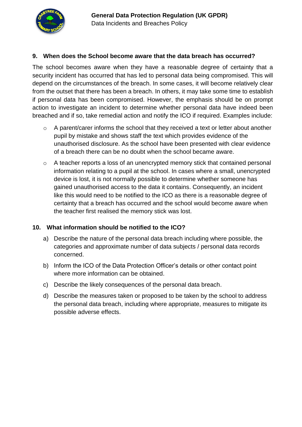

#### **9. When does the School become aware that the data breach has occurred?**

The school becomes aware when they have a reasonable degree of certainty that a security incident has occurred that has led to personal data being compromised. This will depend on the circumstances of the breach. In some cases, it will become relatively clear from the outset that there has been a breach. In others, it may take some time to establish if personal data has been compromised. However, the emphasis should be on prompt action to investigate an incident to determine whether personal data have indeed been breached and if so, take remedial action and notify the ICO if required. Examples include:

- o A parent/carer informs the school that they received a text or letter about another pupil by mistake and shows staff the text which provides evidence of the unauthorised disclosure. As the school have been presented with clear evidence of a breach there can be no doubt when the school became aware.
- o A teacher reports a loss of an unencrypted memory stick that contained personal information relating to a pupil at the school. In cases where a small, unencrypted device is lost, it is not normally possible to determine whether someone has gained unauthorised access to the data it contains. Consequently, an incident like this would need to be notified to the ICO as there is a reasonable degree of certainty that a breach has occurred and the school would become aware when the teacher first realised the memory stick was lost.

#### **10. What information should be notified to the ICO?**

- a) Describe the nature of the personal data breach including where possible, the categories and approximate number of data subjects / personal data records concerned.
- b) Inform the ICO of the Data Protection Officer's details or other contact point where more information can be obtained.
- c) Describe the likely consequences of the personal data breach.
- d) Describe the measures taken or proposed to be taken by the school to address the personal data breach, including where appropriate, measures to mitigate its possible adverse effects.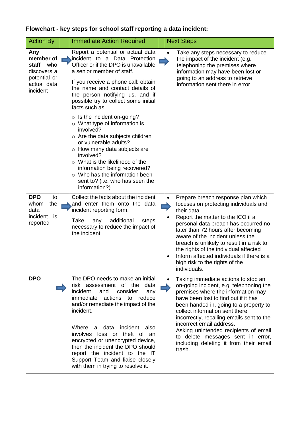## **Flowchart - key steps for school staff reporting a data incident:**

| <b>Action By</b>                                                                           | <b>Immediate Action Required</b>                                                                                                                                                                                                                                                                                                                                                                                                                                                                                                                                                                                                                                                                      | <b>Next Steps</b>                                                                                                                                                                                                                                                                                                                                                                                                                                                |
|--------------------------------------------------------------------------------------------|-------------------------------------------------------------------------------------------------------------------------------------------------------------------------------------------------------------------------------------------------------------------------------------------------------------------------------------------------------------------------------------------------------------------------------------------------------------------------------------------------------------------------------------------------------------------------------------------------------------------------------------------------------------------------------------------------------|------------------------------------------------------------------------------------------------------------------------------------------------------------------------------------------------------------------------------------------------------------------------------------------------------------------------------------------------------------------------------------------------------------------------------------------------------------------|
| Any<br>member of<br>staff<br>who<br>discovers a<br>potential or<br>actual data<br>incident | Report a potential or actual data<br>incident to a Data Protection<br>Officer or if the DPO is unavailable<br>a senior member of staff.<br>If you receive a phone call: obtain<br>the name and contact details of<br>the person notifying us, and if<br>possible try to collect some initial<br>facts such as:<br>$\circ$ Is the incident on-going?<br>$\circ$ What type of information is<br>involved?<br>$\circ$ Are the data subjects children<br>or vulnerable adults?<br>$\circ$ How many data subjects are<br>involved?<br>$\circ$ What is the likelihood of the<br>information being recovered?<br>Who has the information been<br>$\circ$<br>sent to? (i.e. who has seen the<br>information?) | Take any steps necessary to reduce<br>$\bullet$<br>the impact of the incident (e.g.<br>telephoning the premises where<br>information may have been lost or<br>going to an address to retrieve<br>information sent there in error                                                                                                                                                                                                                                 |
| <b>DPO</b><br>to<br>the<br>whom<br>data<br>incident<br>is<br>reported                      | Collect the facts about the incident<br>and enter them onto the data<br>incident reporting form.<br>Take<br>additional<br>steps<br>any<br>necessary to reduce the impact of<br>the incident.                                                                                                                                                                                                                                                                                                                                                                                                                                                                                                          | Prepare breach response plan which<br>focuses on protecting individuals and<br>their data<br>Report the matter to the ICO if a<br>personal data breach has occurred no<br>later than 72 hours after becoming<br>aware of the incident unless the<br>breach is unlikely to result in a risk to<br>the rights of the individual affected<br>Inform affected individuals if there is a<br>high risk to the rights of the<br>individuals.                            |
| <b>DPO</b>                                                                                 | The DPO needs to make an initial<br>risk assessment of the data<br>incident<br>and<br>consider<br>any<br>immediate actions to<br>reduce<br>and/or remediate the impact of the<br>incident.<br>Where a data incident also<br>involves loss or theft of an<br>encrypted or unencrypted device,<br>then the incident the DPO should<br>report the incident to the IT<br>Support Team and liaise closely<br>with them in trying to resolve it.                                                                                                                                                                                                                                                            | Taking immediate actions to stop an<br>$\bullet$<br>on-going incident, e.g. telephoning the<br>premises where the information may<br>have been lost to find out if it has<br>been handed in, going to a property to<br>collect information sent there<br>incorrectly, recalling emails sent to the<br>incorrect email address.<br>Asking unintended recipients of email<br>to delete messages sent in error,<br>including deleting it from their email<br>trash. |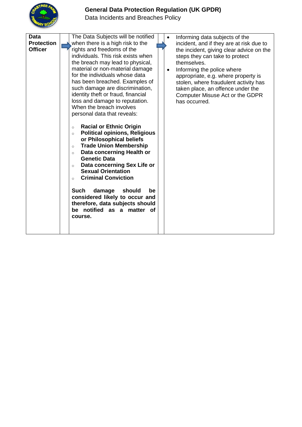#### **General Data Protection Regulation (UK GPDR)**



Data Incidents and Breaches Policy

| Data<br><b>Protection</b><br><b>Officer</b> | The Data Subjects will be notified<br>when there is a high risk to the<br>rights and freedoms of the<br>individuals. This risk exists when<br>the breach may lead to physical,<br>material or non-material damage<br>for the individuals whose data<br>has been breached. Examples of<br>such damage are discrimination,<br>identity theft or fraud, financial<br>loss and damage to reputation.<br>When the breach involves<br>personal data that reveals:<br><b>Racial or Ethnic Origin</b> | Informing data subjects of the<br>incident, and if they are at risk due to<br>the incident, giving clear advice on the<br>steps they can take to protect<br>themselves.<br>Informing the police where<br>$\bullet$<br>appropriate, e.g. where property is<br>stolen, where fraudulent activity has<br>taken place, an offence under the<br>Computer Misuse Act or the GDPR<br>has occurred. |
|---------------------------------------------|-----------------------------------------------------------------------------------------------------------------------------------------------------------------------------------------------------------------------------------------------------------------------------------------------------------------------------------------------------------------------------------------------------------------------------------------------------------------------------------------------|---------------------------------------------------------------------------------------------------------------------------------------------------------------------------------------------------------------------------------------------------------------------------------------------------------------------------------------------------------------------------------------------|
|                                             | $\circ$<br><b>Political opinions, Religious</b><br>$\circ$<br>or Philosophical beliefs<br><b>Trade Union Membership</b><br>$\circ$<br>Data concerning Health or<br>$\circ$<br><b>Genetic Data</b><br>Data concerning Sex Life or<br>$\circ$<br><b>Sexual Orientation</b><br><b>Criminal Conviction</b><br>$\circ$<br><b>Such</b><br>damage<br>should<br>be<br>considered likely to occur and<br>therefore, data subjects should<br>be notified as a matter of<br>course.                      |                                                                                                                                                                                                                                                                                                                                                                                             |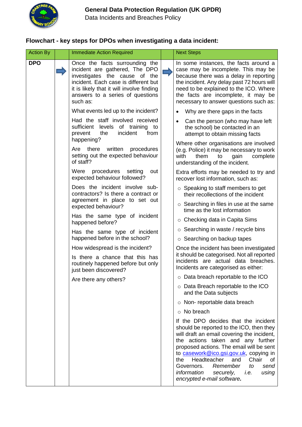

Data Incidents and Breaches Policy

#### **Flowchart - key steps for DPOs when investigating a data incident:**

| <b>Action By</b> | <b>Immediate Action Required</b>                                                                                                                                                                                                       | <b>Next Steps</b>                                                                                                                                                                                                                                                                                                                                                                                                        |
|------------------|----------------------------------------------------------------------------------------------------------------------------------------------------------------------------------------------------------------------------------------|--------------------------------------------------------------------------------------------------------------------------------------------------------------------------------------------------------------------------------------------------------------------------------------------------------------------------------------------------------------------------------------------------------------------------|
| <b>DPO</b>       | Once the facts surrounding the<br>incident are gathered, The DPO<br>investigates the cause of the<br>incident. Each case is different but<br>it is likely that it will involve finding<br>answers to a series of questions<br>such as: | In some instances, the facts around a<br>case may be incomplete. This may be<br>because there was a delay in reporting<br>the incident. Any delay past 72 hours will<br>need to be explained to the ICO. Where<br>the facts are incomplete, it may be<br>necessary to answer questions such as:                                                                                                                          |
|                  | What events led up to the incident?                                                                                                                                                                                                    | Why are there gaps in the facts<br>$\bullet$                                                                                                                                                                                                                                                                                                                                                                             |
|                  | Had the staff involved received<br>sufficient levels of training to<br>incident<br>the<br>from<br>prevent<br>happening?                                                                                                                | Can the person (who may have left<br>the school) be contacted in an<br>attempt to obtain missing facts                                                                                                                                                                                                                                                                                                                   |
|                  | Are there written<br>procedures<br>setting out the expected behaviour<br>of staff?                                                                                                                                                     | Where other organisations are involved<br>(e.g. Police) it may be necessary to work<br>them<br>with<br>gain<br>complete<br>to<br>understanding of the incident.                                                                                                                                                                                                                                                          |
|                  | Were<br>procedures<br>setting<br>out<br>expected behaviour followed?                                                                                                                                                                   | Extra efforts may be needed to try and<br>recover lost information, such as:                                                                                                                                                                                                                                                                                                                                             |
|                  | Does the incident involve sub-<br>contractors? Is there a contract or                                                                                                                                                                  | $\circ$ Speaking to staff members to get<br>their recollections of the incident                                                                                                                                                                                                                                                                                                                                          |
|                  | agreement in place to set out<br>expected behaviour?                                                                                                                                                                                   | $\circ$ Searching in files in use at the same<br>time as the lost information                                                                                                                                                                                                                                                                                                                                            |
|                  | Has the same type of incident<br>happened before?                                                                                                                                                                                      | $\circ$ Checking data in Capita Sims                                                                                                                                                                                                                                                                                                                                                                                     |
|                  | Has the same type of incident                                                                                                                                                                                                          | $\circ$ Searching in waste / recycle bins                                                                                                                                                                                                                                                                                                                                                                                |
|                  | happened before in the school?                                                                                                                                                                                                         | $\circ$ Searching on backup tapes                                                                                                                                                                                                                                                                                                                                                                                        |
|                  | How widespread is the incident?<br>Is there a chance that this has<br>routinely happened before but only<br>just been discovered?                                                                                                      | Once the incident has been investigated<br>it should be categorised. Not all reported<br>incidents are actual data breaches.<br>Incidents are categorised as either:                                                                                                                                                                                                                                                     |
|                  | Are there any others?                                                                                                                                                                                                                  | o Data breach reportable to the ICO                                                                                                                                                                                                                                                                                                                                                                                      |
|                  |                                                                                                                                                                                                                                        | $\circ$ Data Breach reportable to the ICO<br>and the Data subjects                                                                                                                                                                                                                                                                                                                                                       |
|                  |                                                                                                                                                                                                                                        | $\circ$ Non-reportable data breach                                                                                                                                                                                                                                                                                                                                                                                       |
|                  |                                                                                                                                                                                                                                        | No breach<br>$\circ$                                                                                                                                                                                                                                                                                                                                                                                                     |
|                  |                                                                                                                                                                                                                                        | If the DPO decides that the incident<br>should be reported to the ICO, then they<br>will draft an email covering the incident,<br>the actions taken and any further<br>proposed actions. The email will be sent<br>to casework@ico.gsi.gov.uk, copying in<br>Headteacher<br>the<br>and<br>Chair<br>ot<br>Governors.<br>Remember<br>send<br>to<br>information<br>securely,<br>using<br>i.e.<br>encrypted e-mail software. |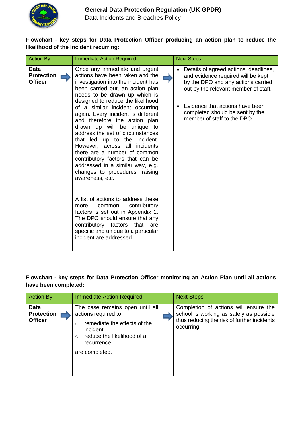

Data Incidents and Breaches Policy

#### **Flowchart - key steps for Data Protection Officer producing an action plan to reduce the likelihood of the incident recurring:**

| <b>Action By</b>                                   | <b>Immediate Action Required</b>                                                                                                                                                                                                                                                                                                                                                                                                                                                                                                                                                                                                                                                                                                                                                                                                                                                 |  | <b>Next Steps</b>                                                                                                                                                                                                                                              |
|----------------------------------------------------|----------------------------------------------------------------------------------------------------------------------------------------------------------------------------------------------------------------------------------------------------------------------------------------------------------------------------------------------------------------------------------------------------------------------------------------------------------------------------------------------------------------------------------------------------------------------------------------------------------------------------------------------------------------------------------------------------------------------------------------------------------------------------------------------------------------------------------------------------------------------------------|--|----------------------------------------------------------------------------------------------------------------------------------------------------------------------------------------------------------------------------------------------------------------|
| <b>Data</b><br><b>Protection</b><br><b>Officer</b> | Once any immediate and urgent<br>actions have been taken and the<br>investigation into the incident has<br>been carried out, an action plan<br>needs to be drawn up which is<br>designed to reduce the likelihood<br>of a similar incident occurring<br>again. Every incident is different<br>and therefore the action plan<br>drawn up will be unique to<br>address the set of circumstances<br>that led up to the incident.<br>However, across all incidents<br>there are a number of common<br>contributory factors that can be<br>addressed in a similar way, e.g.<br>changes to procedures, raising<br>awareness, etc.<br>A list of actions to address these<br>contributory<br>common<br>more<br>factors is set out in Appendix 1.<br>The DPO should ensure that any<br>contributory factors that<br>are<br>specific and unique to a particular<br>incident are addressed. |  | Details of agreed actions, deadlines,<br>and evidence required will be kept<br>by the DPO and any actions carried<br>out by the relevant member of staff.<br>Evidence that actions have been<br>completed should be sent by the<br>member of staff to the DPO. |

#### **Flowchart - key steps for Data Protection Officer monitoring an Action Plan until all actions have been completed:**

| <b>Action By</b>                            | <b>Immediate Action Required</b>                                                                                                                                                  | <b>Next Steps</b>                                                                                                                             |
|---------------------------------------------|-----------------------------------------------------------------------------------------------------------------------------------------------------------------------------------|-----------------------------------------------------------------------------------------------------------------------------------------------|
| Data<br><b>Protection</b><br><b>Officer</b> | The case remains open until all<br>actions required to:<br>remediate the effects of the<br>∩<br>incident<br>reduce the likelihood of a<br>$\circ$<br>recurrence<br>are completed. | Completion of actions will ensure the<br>school is working as safely as possible<br>thus reducing the risk of further incidents<br>occurring. |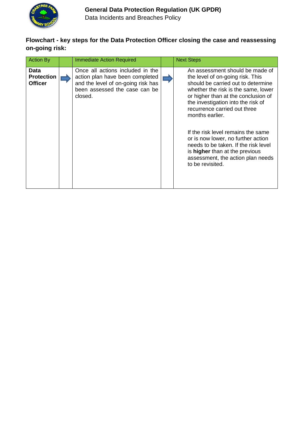

Data Incidents and Breaches Policy

#### **Flowchart - key steps for the Data Protection Officer closing the case and reassessing on-going risk:**

| <b>Action By</b>                            | <b>Immediate Action Required</b>                                                                                                                      | <b>Next Steps</b>                                                                                                                                                                                                                                                                                                                                                                                                                                                                                      |
|---------------------------------------------|-------------------------------------------------------------------------------------------------------------------------------------------------------|--------------------------------------------------------------------------------------------------------------------------------------------------------------------------------------------------------------------------------------------------------------------------------------------------------------------------------------------------------------------------------------------------------------------------------------------------------------------------------------------------------|
| Data<br><b>Protection</b><br><b>Officer</b> | Once all actions included in the<br>action plan have been completed<br>and the level of on-going risk has<br>been assessed the case can be<br>closed. | An assessment should be made of<br>the level of on-going risk. This<br>should be carried out to determine<br>whether the risk is the same, lower<br>or higher than at the conclusion of<br>the investigation into the risk of<br>recurrence carried out three<br>months earlier.<br>If the risk level remains the same<br>or is now lower, no further action<br>needs to be taken. If the risk level<br>is <b>higher</b> than at the previous<br>assessment, the action plan needs<br>to be revisited. |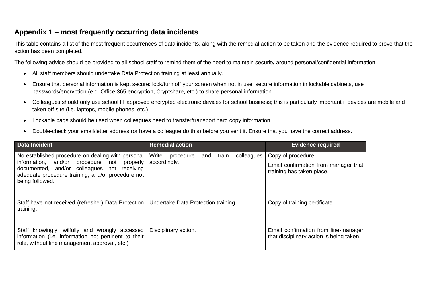#### **Appendix 1 – most frequently occurring data incidents**

This table contains a list of the most frequent occurrences of data incidents, along with the remedial action to be taken and the evidence required to prove that the action has been completed.

The following advice should be provided to all school staff to remind them of the need to maintain security around personal/confidential information:

- All staff members should undertake Data Protection training at least annually.
- Ensure that personal information is kept secure: lock/turn off your screen when not in use, secure information in lockable cabinets, use passwords/encryption (e.g. Office 365 encryption, Cryptshare, etc.) to share personal information.
- Colleagues should only use school IT approved encrypted electronic devices for school business; this is particularly important if devices are mobile and taken off-site (i.e. laptops, mobile phones, etc.)
- Lockable bags should be used when colleagues need to transfer/transport hard copy information.
- Double-check your email/letter address (or have a colleague do this) before you sent it. Ensure that you have the correct address.

| <b>Data Incident</b>                                                                                                                                                                                                      | <b>Remedial action</b>                                           | <b>Evidence required</b>                                                                |
|---------------------------------------------------------------------------------------------------------------------------------------------------------------------------------------------------------------------------|------------------------------------------------------------------|-----------------------------------------------------------------------------------------|
| No established procedure on dealing with personal<br>information, and/or procedure not<br>properly<br>documented, and/or colleagues not receiving<br>adequate procedure training, and/or procedure not<br>being followed. | Write<br>colleagues<br>procedure<br>train<br>and<br>accordingly. | Copy of procedure.<br>Email confirmation from manager that<br>training has taken place. |
| Staff have not received (refresher) Data Protection<br>training.                                                                                                                                                          | Undertake Data Protection training.                              | Copy of training certificate.                                                           |
| Staff knowingly, wilfully and wrongly accessed<br>information (i.e. information not pertinent to their<br>role, without line management approval, etc.)                                                                   | Disciplinary action.                                             | Email confirmation from line-manager<br>that disciplinary action is being taken.        |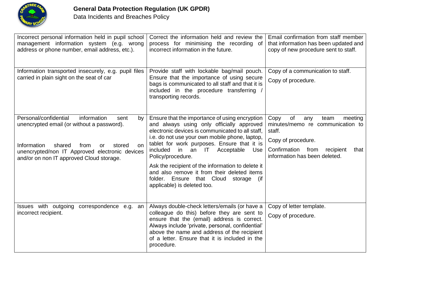

| Incorrect personal information held in pupil school<br>management information system (e.g. wrong<br>address or phone number, email address, etc.).                                                                                                           | Correct the information held and review the<br>process for minimising the recording of<br>incorrect information in the future.                                                                                                                                                                                                                                                                                                                                                                             | Email confirmation from staff member<br>that information has been updated and<br>copy of new procedure sent to staff.                                                               |
|--------------------------------------------------------------------------------------------------------------------------------------------------------------------------------------------------------------------------------------------------------------|------------------------------------------------------------------------------------------------------------------------------------------------------------------------------------------------------------------------------------------------------------------------------------------------------------------------------------------------------------------------------------------------------------------------------------------------------------------------------------------------------------|-------------------------------------------------------------------------------------------------------------------------------------------------------------------------------------|
| Information transported insecurely, e.g. pupil files<br>carried in plain sight on the seat of car                                                                                                                                                            | Provide staff with lockable bag/mail pouch.<br>Ensure that the importance of using secure<br>bags is communicated to all staff and that it is<br>included in the procedure transferring<br>transporting records.                                                                                                                                                                                                                                                                                           | Copy of a communication to staff.<br>Copy of procedure.                                                                                                                             |
| Personal/confidential<br>information<br>sent<br>by<br>unencrypted email (or without a password).<br>Information<br>shared<br>from<br>stored<br><b>or</b><br>on<br>unencrypted/non IT Approved electronic devices<br>and/or on non IT approved Cloud storage. | Ensure that the importance of using encryption<br>and always using only officially approved<br>electronic devices is communicated to all staff.<br>i.e. do not use your own mobile phone, laptop,<br>tablet for work purposes. Ensure that it is<br>included<br>in<br>IT<br>Acceptable<br>an<br>Use<br>Policy/procedure.<br>Ask the recipient of the information to delete it<br>and also remove it from their deleted items<br>folder. Ensure that Cloud<br>storage<br>(if<br>applicable) is deleted too. | Copy<br>of<br>meeting<br>any<br>team<br>minutes/memo re communication to<br>staff.<br>Copy of procedure.<br>Confirmation from<br>recipient<br>that<br>information has been deleted. |
| Issues with outgoing<br>correspondence e.g.<br>an<br>incorrect recipient.                                                                                                                                                                                    | Always double-check letters/emails (or have a<br>colleague do this) before they are sent to<br>ensure that the (email) address is correct.<br>Always include 'private, personal, confidential'<br>above the name and address of the recipient<br>of a letter. Ensure that it is included in the<br>procedure.                                                                                                                                                                                              | Copy of letter template.<br>Copy of procedure.                                                                                                                                      |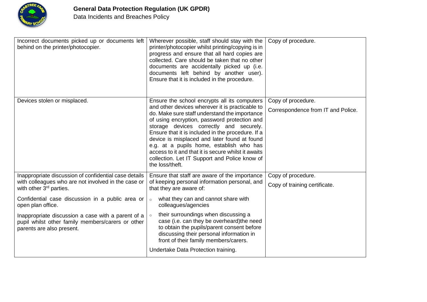

| Incorrect documents picked up or documents left<br>behind on the printer/photocopier.                                                                                                                                                                                                                                                                                | Wherever possible, staff should stay with the<br>printer/photocopier whilst printing/copying is in<br>progress and ensure that all hard copies are<br>collected. Care should be taken that no other<br>documents are accidentally picked up (i.e.<br>documents left behind by another user).<br>Ensure that it is included in the procedure.                                                                                                                                                                            | Copy of procedure.                                       |
|----------------------------------------------------------------------------------------------------------------------------------------------------------------------------------------------------------------------------------------------------------------------------------------------------------------------------------------------------------------------|-------------------------------------------------------------------------------------------------------------------------------------------------------------------------------------------------------------------------------------------------------------------------------------------------------------------------------------------------------------------------------------------------------------------------------------------------------------------------------------------------------------------------|----------------------------------------------------------|
| Devices stolen or misplaced.                                                                                                                                                                                                                                                                                                                                         | Ensure the school encrypts all its computers<br>and other devices wherever it is practicable to<br>do. Make sure staff understand the importance<br>of using encryption, password protection and<br>storage devices correctly and securely.<br>Ensure that it is included in the procedure. If a<br>device is misplaced and later found at found<br>e.g. at a pupils home, establish who has<br>access to it and that it is secure whilst it awaits<br>collection. Let IT Support and Police know of<br>the loss/theft. | Copy of procedure.<br>Correspondence from IT and Police. |
| Inappropriate discussion of confidential case details<br>with colleagues who are not involved in the case or<br>with other 3 <sup>rd</sup> parties.<br>Confidential case discussion in a public area or<br>open plan office.<br>Inappropriate discussion a case with a parent of a<br>pupil whilst other family members/carers or other<br>parents are also present. | Ensure that staff are aware of the importance<br>of keeping personal information personal, and<br>that they are aware of:<br>what they can and cannot share with<br>$\circ$<br>colleagues/agencies<br>their surroundings when discussing a<br>case (i.e. can they be overheard) the need<br>to obtain the pupils/parent consent before<br>discussing their personal information in<br>front of their family members/carers.<br>Undertake Data Protection training.                                                      | Copy of procedure.<br>Copy of training certificate.      |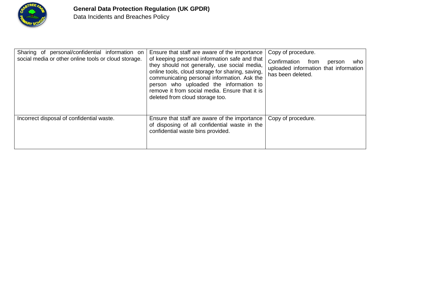

| Sharing of personal/confidential information on<br>social media or other online tools or cloud storage. | Ensure that staff are aware of the importance<br>of keeping personal information safe and that<br>they should not generally, use social media,<br>online tools, cloud storage for sharing, saving,<br>communicating personal information. Ask the<br>person who uploaded the information to<br>remove it from social media. Ensure that it is<br>deleted from cloud storage too. | Copy of procedure.<br>Confirmation from<br>person<br>who<br>uploaded information that information<br>has been deleted. |
|---------------------------------------------------------------------------------------------------------|----------------------------------------------------------------------------------------------------------------------------------------------------------------------------------------------------------------------------------------------------------------------------------------------------------------------------------------------------------------------------------|------------------------------------------------------------------------------------------------------------------------|
| Incorrect disposal of confidential waste.                                                               | Ensure that staff are aware of the importance<br>of disposing of all confidential waste in the<br>confidential waste bins provided.                                                                                                                                                                                                                                              | Copy of procedure.                                                                                                     |